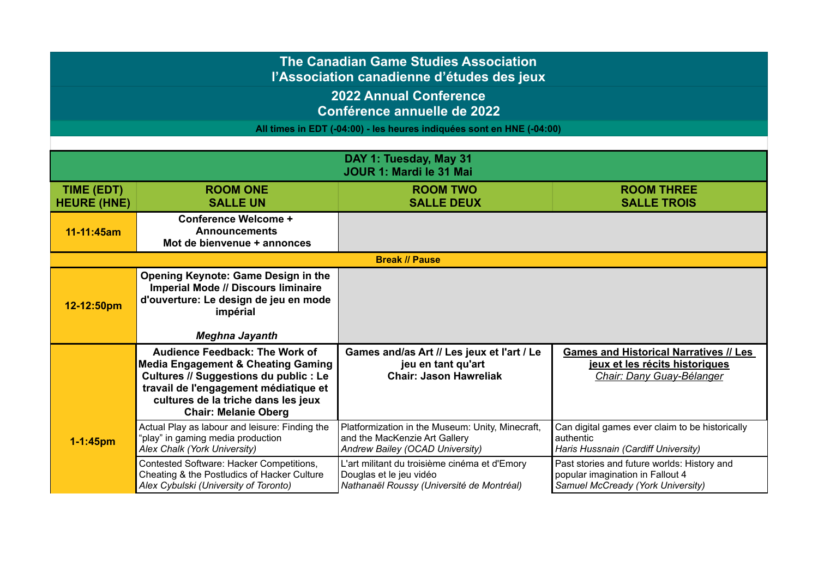## **The Canadian Game Studies Association**

**l'Association canadienne d'études des jeux**

**2022 Annual Conference Conférence annuelle de 2022**

**All times in EDT (-04:00) - les heures indiquées sont en HNE (-04:00)**

|                                  |                                                                                                                                                                                                                                                        | DAY 1: Tuesday, May 31                                                                                                |                                                                                                                      |
|----------------------------------|--------------------------------------------------------------------------------------------------------------------------------------------------------------------------------------------------------------------------------------------------------|-----------------------------------------------------------------------------------------------------------------------|----------------------------------------------------------------------------------------------------------------------|
|                                  |                                                                                                                                                                                                                                                        | JOUR 1: Mardi le 31 Mai                                                                                               |                                                                                                                      |
| TIME (EDT)<br><b>HEURE (HNE)</b> | <b>ROOM ONE</b><br><b>SALLE UN</b>                                                                                                                                                                                                                     | <b>ROOM TWO</b><br><b>SALLE DEUX</b>                                                                                  | <b>ROOM THREE</b><br><b>SALLE TROIS</b>                                                                              |
| 11-11:45am                       | <b>Conference Welcome +</b><br><b>Announcements</b><br>Mot de bienvenue + annonces                                                                                                                                                                     |                                                                                                                       |                                                                                                                      |
|                                  |                                                                                                                                                                                                                                                        | <b>Break // Pause</b>                                                                                                 |                                                                                                                      |
| 12-12:50pm                       | Opening Keynote: Game Design in the<br><b>Imperial Mode // Discours liminaire</b><br>d'ouverture: Le design de jeu en mode<br>impérial                                                                                                                 |                                                                                                                       |                                                                                                                      |
|                                  | <b>Meghna Jayanth</b>                                                                                                                                                                                                                                  |                                                                                                                       |                                                                                                                      |
|                                  | <b>Audience Feedback: The Work of</b><br><b>Media Engagement &amp; Cheating Gaming</b><br><b>Cultures // Suggestions du public : Le</b><br>travail de l'engagement médiatique et<br>cultures de la triche dans les jeux<br><b>Chair: Melanie Oberg</b> | Games and/as Art // Les jeux et l'art / Le<br>jeu en tant qu'art<br><b>Chair: Jason Hawreliak</b>                     | <b>Games and Historical Narratives // Les</b><br>jeux et les récits historiques<br>Chair: Dany Guay-Bélanger         |
| $1 - 1:45$ pm                    | Actual Play as labour and leisure: Finding the<br>"play" in gaming media production<br>Alex Chalk (York University)                                                                                                                                    | Platformization in the Museum: Unity, Minecraft,<br>and the MacKenzie Art Gallery<br>Andrew Bailey (OCAD University)  | Can digital games ever claim to be historically<br>authentic<br>Haris Hussnain (Cardiff University)                  |
|                                  | Contested Software: Hacker Competitions,<br>Cheating & the Postludics of Hacker Culture<br>Alex Cybulski (University of Toronto)                                                                                                                       | L'art militant du troisième cinéma et d'Emory<br>Douglas et le jeu vidéo<br>Nathanaël Roussy (Université de Montréal) | Past stories and future worlds: History and<br>popular imagination in Fallout 4<br>Samuel McCready (York University) |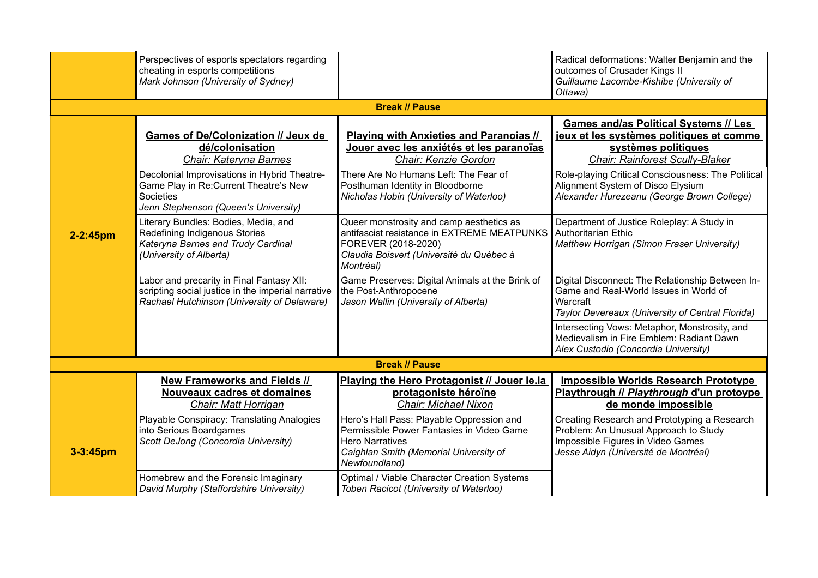|               | Perspectives of esports spectators regarding<br>cheating in esports competitions<br>Mark Johnson (University of Sydney)                                                                                                                |                                                                                                                                                                                                                                            | Radical deformations: Walter Benjamin and the<br>outcomes of Crusader Kings II<br>Guillaume Lacombe-Kishibe (University of<br>Ottawa)                                                                                                                                                       |
|---------------|----------------------------------------------------------------------------------------------------------------------------------------------------------------------------------------------------------------------------------------|--------------------------------------------------------------------------------------------------------------------------------------------------------------------------------------------------------------------------------------------|---------------------------------------------------------------------------------------------------------------------------------------------------------------------------------------------------------------------------------------------------------------------------------------------|
|               |                                                                                                                                                                                                                                        | <b>Break // Pause</b>                                                                                                                                                                                                                      |                                                                                                                                                                                                                                                                                             |
|               | <b>Games of De/Colonization // Jeux de</b><br>dé/colonisation<br>Chair: Kateryna Barnes<br>Decolonial Improvisations in Hybrid Theatre-<br>Game Play in Re: Current Theatre's New<br>Societies<br>Jenn Stephenson (Queen's University) | <b>Playing with Anxieties and Paranoias //</b><br>Jouer avec les anxiétés et les paranoïas<br>Chair: Kenzie Gordon<br>There Are No Humans Left: The Fear of<br>Posthuman Identity in Bloodborne<br>Nicholas Hobin (University of Waterloo) | <b>Games and/as Political Systems // Les</b><br>jeux et les systèmes politiques et comme<br>systèmes politiques<br>Chair: Rainforest Scully-Blaker<br>Role-playing Critical Consciousness: The Political<br>Alignment System of Disco Elysium<br>Alexander Hurezeanu (George Brown College) |
| $2 - 2:45$ pm | Literary Bundles: Bodies, Media, and<br>Redefining Indigenous Stories<br>Kateryna Barnes and Trudy Cardinal<br>(University of Alberta)                                                                                                 | Queer monstrosity and camp aesthetics as<br>antifascist resistance in EXTREME MEATPUNKS<br>FOREVER (2018-2020)<br>Claudia Boisvert (Université du Québec à<br>Montréal)                                                                    | Department of Justice Roleplay: A Study in<br>Authoritarian Ethic<br>Matthew Horrigan (Simon Fraser University)                                                                                                                                                                             |
|               | Labor and precarity in Final Fantasy XII:<br>scripting social justice in the imperial narrative<br>Rachael Hutchinson (University of Delaware)                                                                                         | Game Preserves: Digital Animals at the Brink of<br>the Post-Anthropocene<br>Jason Wallin (University of Alberta)                                                                                                                           | Digital Disconnect: The Relationship Between In-<br>Game and Real-World Issues in World of<br>Warcraft<br>Taylor Devereaux (University of Central Florida)                                                                                                                                  |
|               |                                                                                                                                                                                                                                        |                                                                                                                                                                                                                                            | Intersecting Vows: Metaphor, Monstrosity, and<br>Medievalism in Fire Emblem: Radiant Dawn<br>Alex Custodio (Concordia University)                                                                                                                                                           |
|               |                                                                                                                                                                                                                                        | <b>Break // Pause</b>                                                                                                                                                                                                                      |                                                                                                                                                                                                                                                                                             |
|               | <b>New Frameworks and Fields //</b><br><b>Nouveaux cadres et domaines</b><br>Chair: Matt Horrigan                                                                                                                                      | Playing the Hero Protagonist // Jouer le.la<br>protagoniste héroïne<br><b>Chair: Michael Nixon</b>                                                                                                                                         | <b>Impossible Worlds Research Prototype</b><br>Playthrough // Playthrough d'un protoype<br>de monde impossible                                                                                                                                                                              |
| $3 - 3:45$ pm | Playable Conspiracy: Translating Analogies<br>into Serious Boardgames<br>Scott DeJong (Concordia University)                                                                                                                           | Hero's Hall Pass: Playable Oppression and<br>Permissible Power Fantasies in Video Game<br><b>Hero Narratives</b><br>Caighlan Smith (Memorial University of<br>Newfoundland)                                                                | Creating Research and Prototyping a Research<br>Problem: An Unusual Approach to Study<br>Impossible Figures in Video Games<br>Jesse Aidyn (Université de Montréal)                                                                                                                          |
|               | Homebrew and the Forensic Imaginary<br>David Murphy (Staffordshire University)                                                                                                                                                         | Optimal / Viable Character Creation Systems<br>Toben Racicot (University of Waterloo)                                                                                                                                                      |                                                                                                                                                                                                                                                                                             |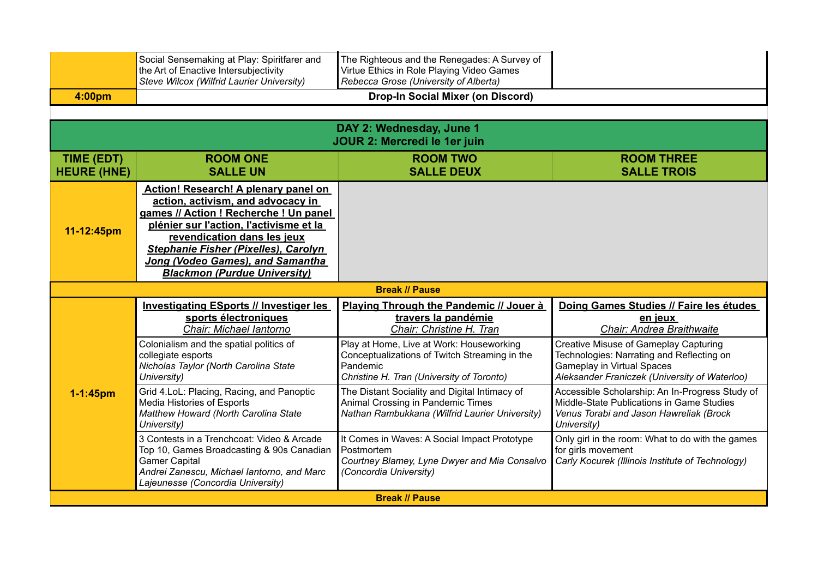|                                         | Social Sensemaking at Play: Spiritfarer and<br>the Art of Enactive Intersubjectivity<br>Steve Wilcox (Wilfrid Laurier University)                                                                                                                                                                                              | The Righteous and the Renegades: A Survey of<br>Virtue Ethics in Role Playing Video Games<br>Rebecca Grose (University of Alberta)                 |                                                                                                                                                                                 |
|-----------------------------------------|--------------------------------------------------------------------------------------------------------------------------------------------------------------------------------------------------------------------------------------------------------------------------------------------------------------------------------|----------------------------------------------------------------------------------------------------------------------------------------------------|---------------------------------------------------------------------------------------------------------------------------------------------------------------------------------|
| 4:00pm                                  |                                                                                                                                                                                                                                                                                                                                | <b>Drop-In Social Mixer (on Discord)</b>                                                                                                           |                                                                                                                                                                                 |
|                                         |                                                                                                                                                                                                                                                                                                                                |                                                                                                                                                    |                                                                                                                                                                                 |
|                                         |                                                                                                                                                                                                                                                                                                                                | DAY 2: Wednesday, June 1<br>JOUR 2: Mercredi le 1er juin                                                                                           |                                                                                                                                                                                 |
| <b>TIME (EDT)</b><br><b>HEURE (HNE)</b> | <b>ROOM ONE</b><br><b>SALLE UN</b>                                                                                                                                                                                                                                                                                             | <b>ROOM TWO</b><br><b>SALLE DEUX</b>                                                                                                               | <b>ROOM THREE</b><br><b>SALLE TROIS</b>                                                                                                                                         |
| 11-12:45pm                              | <b>Action! Research! A plenary panel on</b><br>action, activism, and advocacy in<br>games // Action ! Recherche ! Un panel<br>plénier sur l'action, l'activisme et la<br>revendication dans les jeux<br><b>Stephanie Fisher (Pixelles), Carolyn</b><br>Jong (Vodeo Games), and Samantha<br><b>Blackmon (Purdue University)</b> |                                                                                                                                                    |                                                                                                                                                                                 |
|                                         |                                                                                                                                                                                                                                                                                                                                | <b>Break // Pause</b>                                                                                                                              |                                                                                                                                                                                 |
|                                         | <b>Investigating ESports // Investiger les</b><br>sports électroniques<br>Chair: Michael lantorno                                                                                                                                                                                                                              | Playing Through the Pandemic // Jouer à<br>travers la pandémie<br>Chair: Christine H. Tran                                                         | Doing Games Studies // Faire les études<br>en jeux<br>Chair: Andrea Braithwaite                                                                                                 |
|                                         | Colonialism and the spatial politics of<br>collegiate esports<br>Nicholas Taylor (North Carolina State<br>University)                                                                                                                                                                                                          | Play at Home, Live at Work: Houseworking<br>Conceptualizations of Twitch Streaming in the<br>Pandemic<br>Christine H. Tran (University of Toronto) | <b>Creative Misuse of Gameplay Capturing</b><br>Technologies: Narrating and Reflecting on<br><b>Gameplay in Virtual Spaces</b><br>Aleksander Franiczek (University of Waterloo) |
| $1 - 1:45$ pm                           | Grid 4.LoL: Placing, Racing, and Panoptic<br>Media Histories of Esports<br>Matthew Howard (North Carolina State<br>University)                                                                                                                                                                                                 | The Distant Sociality and Digital Intimacy of<br>Animal Crossing in Pandemic Times<br>Nathan Rambukkana (Wilfrid Laurier University)               | Accessible Scholarship: An In-Progress Study of<br>Middle-State Publications in Game Studies<br>Venus Torabi and Jason Hawreliak (Brock<br>University)                          |
|                                         | 3 Contests in a Trenchcoat: Video & Arcade<br>Top 10, Games Broadcasting & 90s Canadian<br><b>Gamer Capital</b><br>Andrei Zanescu, Michael lantorno, and Marc<br>Lajeunesse (Concordia University)                                                                                                                             | It Comes in Waves: A Social Impact Prototype<br>Postmortem<br>Courtney Blamey, Lyne Dwyer and Mia Consalvo<br>(Concordia University)               | Only girl in the room: What to do with the games<br>for girls movement<br>Carly Kocurek (Illinois Institute of Technology)                                                      |
| <b>Break // Pause</b>                   |                                                                                                                                                                                                                                                                                                                                |                                                                                                                                                    |                                                                                                                                                                                 |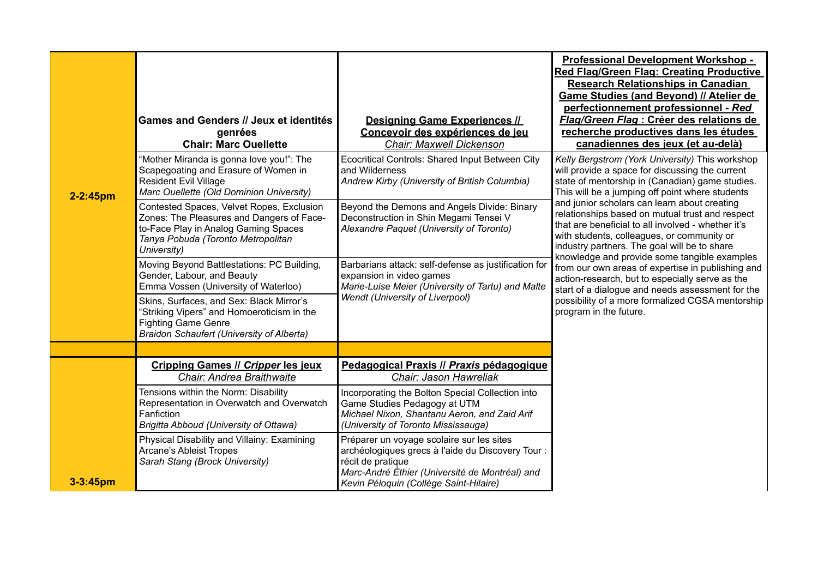| $2 - 2:45$ pm | <b>Games and Genders // Jeux et identités</b><br>genrées<br><b>Chair: Marc Ouellette</b><br>"Mother Miranda is gonna love you!": The<br>Scapegoating and Erasure of Women in<br><b>Resident Evil Village</b><br>Marc Ouellette (Old Dominion University)<br>Contested Spaces, Velvet Ropes, Exclusion<br>Zones: The Pleasures and Dangers of Face-<br>to-Face Play in Analog Gaming Spaces<br>Tanya Pobuda (Toronto Metropolitan<br>University)<br>Moving Beyond Battlestations: PC Building,<br>Gender, Labour, and Beauty<br>Emma Vossen (University of Waterloo)<br>Skins, Surfaces, and Sex: Black Mirror's<br>"Striking Vipers" and Homoeroticism in the<br><b>Fighting Game Genre</b><br><b>Braidon Schaufert (University of Alberta)</b> | <b>Designing Game Experiences //</b><br>Concevoir des expériences de jeu<br>Chair: Maxwell Dickenson<br>Ecocritical Controls: Shared Input Between City<br>and Wilderness<br>Andrew Kirby (University of British Columbia)<br>Beyond the Demons and Angels Divide: Binary<br>Deconstruction in Shin Megami Tensei V<br>Alexandre Paquet (University of Toronto)<br>Barbarians attack: self-defense as justification for<br>expansion in video games<br>Marie-Luise Meier (University of Tartu) and Malte<br><b>Wendt (University of Liverpool)</b> | <b>Professional Development Workshop -</b><br><b>Red Flag/Green Flag: Creating Productive</b><br><b>Research Relationships in Canadian</b><br><b>Game Studies (and Beyond) // Atelier de</b><br>perfectionnement professionnel - Red<br>Flag/Green Flag : Créer des relations de<br>recherche productives dans les études<br>canadiennes des jeux (et au-delà)<br>Kelly Bergstrom (York University) This workshop<br>will provide a space for discussing the current<br>state of mentorship in (Canadian) game studies.<br>This will be a jumping off point where students<br>and junior scholars can learn about creating<br>relationships based on mutual trust and respect<br>that are beneficial to all involved - whether it's<br>with students, colleagues, or community or<br>industry partners. The goal will be to share<br>knowledge and provide some tangible examples<br>from our own areas of expertise in publishing and<br>action-research, but to especially serve as the<br>start of a dialogue and needs assessment for the<br>possibility of a more formalized CGSA mentorship<br>program in the future. |
|---------------|-------------------------------------------------------------------------------------------------------------------------------------------------------------------------------------------------------------------------------------------------------------------------------------------------------------------------------------------------------------------------------------------------------------------------------------------------------------------------------------------------------------------------------------------------------------------------------------------------------------------------------------------------------------------------------------------------------------------------------------------------|----------------------------------------------------------------------------------------------------------------------------------------------------------------------------------------------------------------------------------------------------------------------------------------------------------------------------------------------------------------------------------------------------------------------------------------------------------------------------------------------------------------------------------------------------|-----------------------------------------------------------------------------------------------------------------------------------------------------------------------------------------------------------------------------------------------------------------------------------------------------------------------------------------------------------------------------------------------------------------------------------------------------------------------------------------------------------------------------------------------------------------------------------------------------------------------------------------------------------------------------------------------------------------------------------------------------------------------------------------------------------------------------------------------------------------------------------------------------------------------------------------------------------------------------------------------------------------------------------------------------------------------------------------------------------------------------|
|               |                                                                                                                                                                                                                                                                                                                                                                                                                                                                                                                                                                                                                                                                                                                                                 |                                                                                                                                                                                                                                                                                                                                                                                                                                                                                                                                                    |                                                                                                                                                                                                                                                                                                                                                                                                                                                                                                                                                                                                                                                                                                                                                                                                                                                                                                                                                                                                                                                                                                                             |
|               | <b>Cripping Games // Cripper les jeux</b><br>Chair: Andrea Braithwaite                                                                                                                                                                                                                                                                                                                                                                                                                                                                                                                                                                                                                                                                          | Pedagogical Praxis // Praxis pédagogique<br>Chair: Jason Hawreliak                                                                                                                                                                                                                                                                                                                                                                                                                                                                                 |                                                                                                                                                                                                                                                                                                                                                                                                                                                                                                                                                                                                                                                                                                                                                                                                                                                                                                                                                                                                                                                                                                                             |
|               | Tensions within the Norm: Disability<br>Representation in Overwatch and Overwatch<br>Fanfiction<br>Brigitta Abboud (University of Ottawa)                                                                                                                                                                                                                                                                                                                                                                                                                                                                                                                                                                                                       | Incorporating the Bolton Special Collection into<br>Game Studies Pedagogy at UTM<br>Michael Nixon, Shantanu Aeron, and Zaid Arif<br>(University of Toronto Mississauga)                                                                                                                                                                                                                                                                                                                                                                            |                                                                                                                                                                                                                                                                                                                                                                                                                                                                                                                                                                                                                                                                                                                                                                                                                                                                                                                                                                                                                                                                                                                             |
| $3 - 3:45$ pm | Physical Disability and Villainy: Examining<br><b>Arcane's Ableist Tropes</b><br>Sarah Stang (Brock University)                                                                                                                                                                                                                                                                                                                                                                                                                                                                                                                                                                                                                                 | Préparer un voyage scolaire sur les sites<br>archéologiques grecs à l'aide du Discovery Tour :<br>récit de pratique<br>Marc-André Éthier (Université de Montréal) and<br>Kevin Péloquin (Collège Saint-Hilaire)                                                                                                                                                                                                                                                                                                                                    |                                                                                                                                                                                                                                                                                                                                                                                                                                                                                                                                                                                                                                                                                                                                                                                                                                                                                                                                                                                                                                                                                                                             |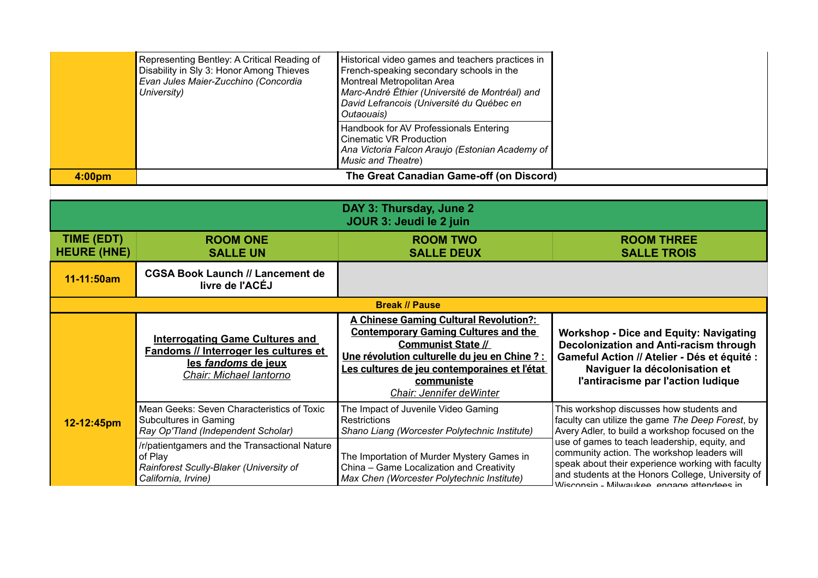|                    | Representing Bentley: A Critical Reading of<br>Disability in Sly 3: Honor Among Thieves<br>Evan Jules Maier-Zucchino (Concordia<br>University) | Historical video games and teachers practices in<br>French-speaking secondary schools in the<br>Montreal Metropolitan Area<br>Marc-André Éthier (Université de Montréal) and<br>David Lefrancois (Université du Québec en<br>Outaouais) |  |
|--------------------|------------------------------------------------------------------------------------------------------------------------------------------------|-----------------------------------------------------------------------------------------------------------------------------------------------------------------------------------------------------------------------------------------|--|
|                    |                                                                                                                                                | Handbook for AV Professionals Entering<br>Cinematic VR Production<br>Ana Victoria Falcon Araujo (Estonian Academy of<br><b>Music and Theatre)</b>                                                                                       |  |
| 4:00 <sub>pm</sub> |                                                                                                                                                | The Great Canadian Game-off (on Discord)                                                                                                                                                                                                |  |

|                                  |                                                                                                                                   | DAY 3: Thursday, June 2<br>JOUR 3: Jeudi le 2 juin                                                                                                                                                                                                                                  |                                                                                                                                                                                                                                                      |
|----------------------------------|-----------------------------------------------------------------------------------------------------------------------------------|-------------------------------------------------------------------------------------------------------------------------------------------------------------------------------------------------------------------------------------------------------------------------------------|------------------------------------------------------------------------------------------------------------------------------------------------------------------------------------------------------------------------------------------------------|
| TIME (EDT)<br><b>HEURE (HNE)</b> | <b>ROOM ONE</b><br><b>SALLE UN</b>                                                                                                | <b>ROOM TWO</b><br><b>SALLE DEUX</b>                                                                                                                                                                                                                                                | <b>ROOM THREE</b><br><b>SALLE TROIS</b>                                                                                                                                                                                                              |
| 11-11:50am                       | <b>CGSA Book Launch // Lancement de</b><br>livre de l'ACÉJ                                                                        |                                                                                                                                                                                                                                                                                     |                                                                                                                                                                                                                                                      |
| <b>Break // Pause</b>            |                                                                                                                                   |                                                                                                                                                                                                                                                                                     |                                                                                                                                                                                                                                                      |
|                                  | <b>Interrogating Game Cultures and</b><br>Fandoms // Interroger les cultures et<br>les fandoms de jeux<br>Chair: Michael lantorno | <b>A Chinese Gaming Cultural Revolution?:</b><br><b>Contemporary Gaming Cultures and the</b><br><b>Communist State //</b><br><u> Une révolution culturelle du jeu en Chine ? :</u><br><u>Les cultures de jeu contemporaines et l'état</u><br>communiste<br>Chair: Jennifer deWinter | <b>Workshop - Dice and Equity: Navigating</b><br><b>Decolonization and Anti-racism through</b><br>Gameful Action // Atelier - Dés et équité :<br>Naviguer la décolonisation et<br>l'antiracisme par l'action ludique                                 |
| 12-12:45pm                       | Mean Geeks: Seven Characteristics of Toxic<br>Subcultures in Gaming<br>Ray Op'Tland (Independent Scholar)                         | The Impact of Juvenile Video Gaming<br><b>Restrictions</b><br>Shano Liang (Worcester Polytechnic Institute)                                                                                                                                                                         | This workshop discusses how students and<br>faculty can utilize the game The Deep Forest, by<br>Avery Adler, to build a workshop focused on the                                                                                                      |
|                                  | /r/patientgamers and the Transactional Nature<br>of Play<br>Rainforest Scully-Blaker (University of<br>California, Irvine)        | The Importation of Murder Mystery Games in<br>China - Game Localization and Creativity<br>Max Chen (Worcester Polytechnic Institute)                                                                                                                                                | use of games to teach leadership, equity, and<br>community action. The workshop leaders will<br>speak about their experience working with faculty<br>and students at the Honors College, University of<br>Wisconsin - Milwaukee, engage attendees in |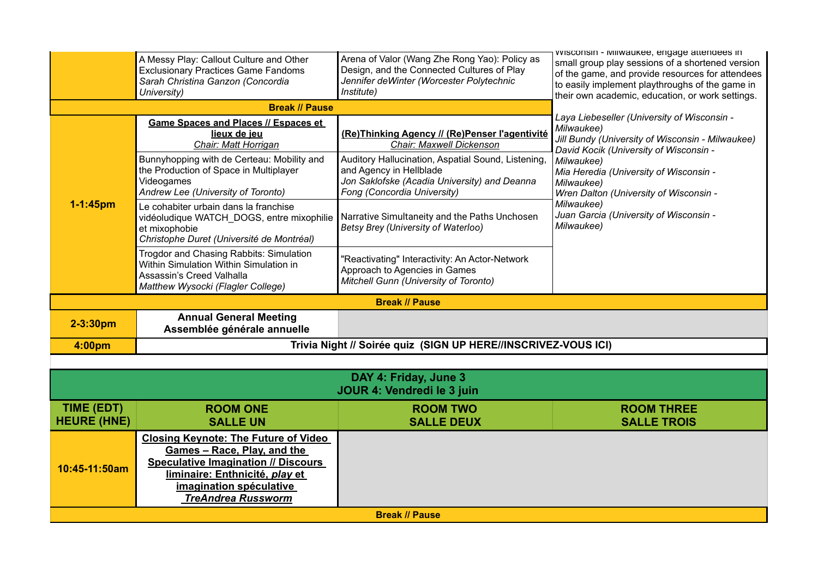|               | A Messy Play: Callout Culture and Other<br><b>Exclusionary Practices Game Fandoms</b><br>Sarah Christina Ganzon (Concordia<br>University)           | Arena of Valor (Wang Zhe Rong Yao): Policy as<br>Design, and the Connected Cultures of Play<br>Jennifer deWinter (Worcester Polytechnic<br>Institute)        | VVISCONSIN - IVIIIWAUKEE, ENGAGE ALLENDEES IN<br>small group play sessions of a shortened version<br>of the game, and provide resources for attendees<br>to easily implement playthroughs of the game in<br>their own academic, education, or work settings. |
|---------------|-----------------------------------------------------------------------------------------------------------------------------------------------------|--------------------------------------------------------------------------------------------------------------------------------------------------------------|--------------------------------------------------------------------------------------------------------------------------------------------------------------------------------------------------------------------------------------------------------------|
|               | <b>Break // Pause</b>                                                                                                                               |                                                                                                                                                              |                                                                                                                                                                                                                                                              |
|               | <b>Game Spaces and Places // Espaces et</b><br>lieux de jeu<br>Chair: Matt Horrigan                                                                 | (Re)Thinking Agency // (Re)Penser l'agentivité<br>Chair: Maxwell Dickenson                                                                                   | Laya Liebeseller (University of Wisconsin -<br>Milwaukee)<br>Jill Bundy (University of Wisconsin - Milwaukee)<br>David Kocik (University of Wisconsin -                                                                                                      |
|               | Bunnyhopping with de Certeau: Mobility and<br>the Production of Space in Multiplayer<br>Videogames<br>Andrew Lee (University of Toronto)            | Auditory Hallucination, Aspatial Sound, Listening,<br>and Agency in Hellblade<br>Jon Saklofske (Acadia University) and Deanna<br>Fong (Concordia University) | Milwaukee)<br>Mia Heredia (University of Wisconsin -<br>Milwaukee)<br>Wren Dalton (University of Wisconsin -                                                                                                                                                 |
| $1 - 1:45$ pm | Le cohabiter urbain dans la franchise<br>vidéoludique WATCH_DOGS, entre mixophilie<br>et mixophobie<br>Christophe Duret (Université de Montréal)    | Narrative Simultaneity and the Paths Unchosen<br>Betsy Brey (University of Waterloo)                                                                         | Milwaukee)<br>Juan Garcia (University of Wisconsin -<br>Milwaukee)                                                                                                                                                                                           |
|               | Trogdor and Chasing Rabbits: Simulation<br>Within Simulation Within Simulation in<br>Assassin's Creed Valhalla<br>Matthew Wysocki (Flagler College) | 'Reactivating" Interactivity: An Actor-Network<br>Approach to Agencies in Games<br>Mitchell Gunn (University of Toronto)                                     |                                                                                                                                                                                                                                                              |
|               |                                                                                                                                                     | <b>Break // Pause</b>                                                                                                                                        |                                                                                                                                                                                                                                                              |
| $2 - 3:30pm$  | <b>Annual General Meeting</b><br>Assemblée générale annuelle                                                                                        |                                                                                                                                                              |                                                                                                                                                                                                                                                              |
| 4:00pm        | Trivia Night // Soirée quiz (SIGN UP HERE//INSCRIVEZ-VOUS ICI)                                                                                      |                                                                                                                                                              |                                                                                                                                                                                                                                                              |

| DAY 4: Friday, June 3<br>JOUR 4: Vendredi le 3 juin |                                                                                                                                                                                                                    |                   |                    |  |
|-----------------------------------------------------|--------------------------------------------------------------------------------------------------------------------------------------------------------------------------------------------------------------------|-------------------|--------------------|--|
| TIME (EDT)                                          | <b>ROOM ONE</b>                                                                                                                                                                                                    | <b>ROOM TWO</b>   | <b>ROOM THREE</b>  |  |
| <b>HEURE (HNE)</b>                                  | <b>SALLE UN</b>                                                                                                                                                                                                    | <b>SALLE DEUX</b> | <b>SALLE TROIS</b> |  |
| 10:45-11:50am                                       | <b>Closing Keynote: The Future of Video</b><br>Games - Race, Play, and the<br><b>Speculative Imagination // Discours</b><br>liminaire: Enthnicité, play et<br>imagination spéculative<br><b>TreAndrea Russworm</b> |                   |                    |  |
| <b>Break // Pause</b>                               |                                                                                                                                                                                                                    |                   |                    |  |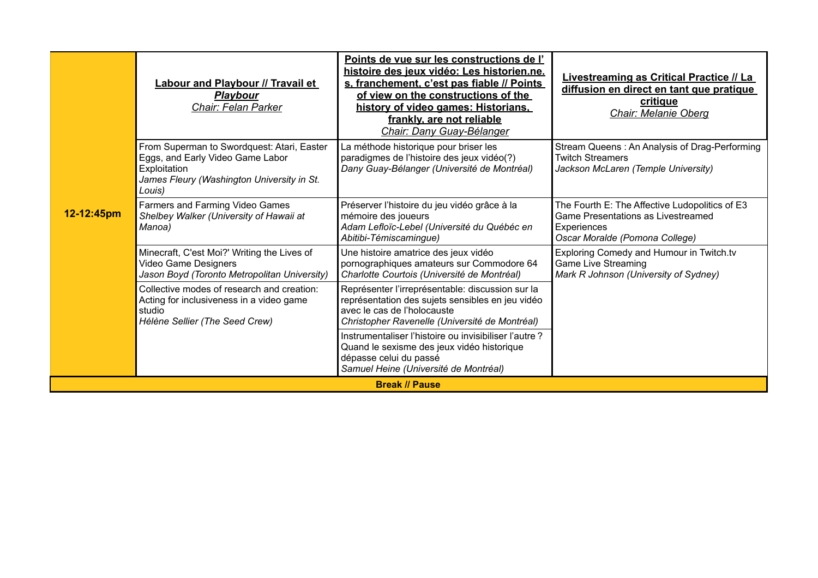|                       | <b>Labour and Playbour // Travail et</b><br><b>Playbour</b><br><b>Chair: Felan Parker</b>                                                              | Points de vue sur les constructions de l'<br>histoire des jeux vidéo: Les historien.ne.<br>s. franchement, c'est pas fiable // Points<br>of view on the constructions of the<br>history of video games: Historians,<br>frankly, are not reliable<br>Chair: Dany Guay-Bélanger | <b>Livestreaming as Critical Practice // La</b><br>diffusion en direct en tant que pratique<br>critique<br><b>Chair: Melanie Oberg</b>       |  |
|-----------------------|--------------------------------------------------------------------------------------------------------------------------------------------------------|-------------------------------------------------------------------------------------------------------------------------------------------------------------------------------------------------------------------------------------------------------------------------------|----------------------------------------------------------------------------------------------------------------------------------------------|--|
|                       | From Superman to Swordquest: Atari, Easter<br>Eggs, and Early Video Game Labor<br>Exploitation<br>James Fleury (Washington University in St.<br>Louis) | La méthode historique pour briser les<br>paradigmes de l'histoire des jeux vidéo(?)<br>Dany Guay-Bélanger (Université de Montréal)                                                                                                                                            | Stream Queens: An Analysis of Drag-Performing<br><b>Twitch Streamers</b><br>Jackson McLaren (Temple University)                              |  |
| 12-12:45pm            | Farmers and Farming Video Games<br>Shelbey Walker (University of Hawaii at<br>Manoa)                                                                   | Préserver l'histoire du jeu vidéo grâce à la<br>mémoire des joueurs<br>Adam Lefloïc-Lebel (Université du Québéc en<br>Abitibi-Témiscaminque)                                                                                                                                  | The Fourth E: The Affective Ludopolitics of E3<br><b>Game Presentations as Livestreamed</b><br>Experiences<br>Oscar Moralde (Pomona College) |  |
|                       | Minecraft, C'est Moi?' Writing the Lives of<br>Video Game Designers<br>Jason Boyd (Toronto Metropolitan University)                                    | Une histoire amatrice des jeux vidéo<br>pornographiques amateurs sur Commodore 64<br>Charlotte Courtois (Université de Montréal)                                                                                                                                              | Exploring Comedy and Humour in Twitch.tv<br><b>Game Live Streaming</b><br>Mark R Johnson (University of Sydney)                              |  |
|                       | Collective modes of research and creation:<br>Acting for inclusiveness in a video game<br>studio<br>Hélène Sellier (The Seed Crew)                     | Représenter l'irreprésentable: discussion sur la<br>représentation des sujets sensibles en jeu vidéo<br>avec le cas de l'holocauste<br>Christopher Ravenelle (Université de Montréal)                                                                                         |                                                                                                                                              |  |
|                       |                                                                                                                                                        | Instrumentaliser l'histoire ou invisibiliser l'autre?<br>Quand le sexisme des jeux vidéo historique<br>dépasse celui du passé<br>Samuel Heine (Université de Montréal)                                                                                                        |                                                                                                                                              |  |
| <b>Break // Pause</b> |                                                                                                                                                        |                                                                                                                                                                                                                                                                               |                                                                                                                                              |  |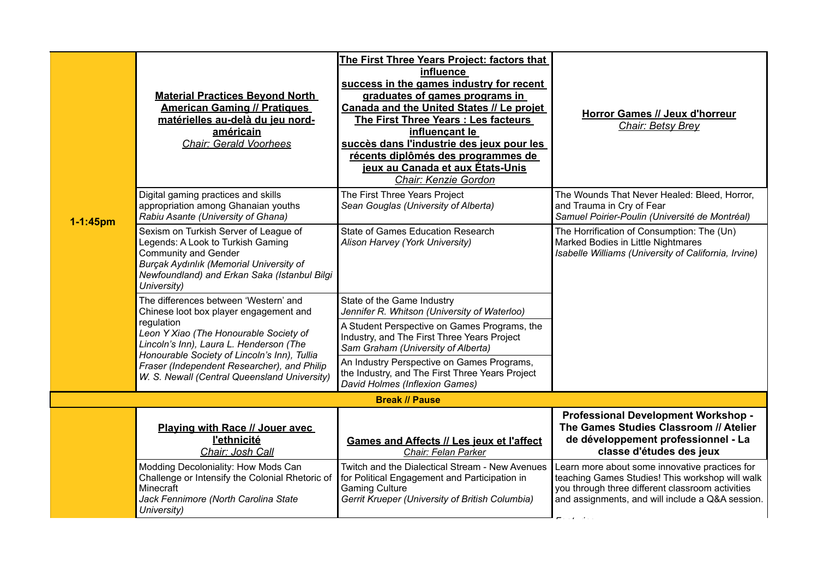|               | <b>Material Practices Beyond North</b><br><b>American Gaming // Pratiques</b><br>matérielles au-delà du jeu nord-<br>américain<br><b>Chair: Gerald Voorhees</b>                                                     | The First Three Years Project: factors that<br>influence<br>success in the games industry for recent<br>graduates of games programs in<br>Canada and the United States // Le projet<br>The First Three Years : Les facteurs<br>influençant le<br>succès dans l'industrie des jeux pour les<br>récents diplômés des programmes de<br>jeux au Canada et aux États-Unis<br>Chair: Kenzie Gordon | Horror Games // Jeux d'horreur<br><b>Chair: Betsy Brey</b>                                                                                                                                                |
|---------------|---------------------------------------------------------------------------------------------------------------------------------------------------------------------------------------------------------------------|----------------------------------------------------------------------------------------------------------------------------------------------------------------------------------------------------------------------------------------------------------------------------------------------------------------------------------------------------------------------------------------------|-----------------------------------------------------------------------------------------------------------------------------------------------------------------------------------------------------------|
| $1 - 1:45$ pm | Digital gaming practices and skills<br>appropriation among Ghanaian youths<br>Rabiu Asante (University of Ghana)                                                                                                    | The First Three Years Project<br>Sean Gouglas (University of Alberta)                                                                                                                                                                                                                                                                                                                        | The Wounds That Never Healed: Bleed, Horror,<br>and Trauma in Cry of Fear<br>Samuel Poirier-Poulin (Université de Montréal)                                                                               |
|               | Sexism on Turkish Server of League of<br>Legends: A Look to Turkish Gaming<br><b>Community and Gender</b><br>Burçak Aydınlık (Memorial University of<br>Newfoundland) and Erkan Saka (Istanbul Bilgi<br>University) | State of Games Education Research<br>Alison Harvey (York University)                                                                                                                                                                                                                                                                                                                         | The Horrification of Consumption: The (Un)<br>Marked Bodies in Little Nightmares<br>Isabelle Williams (University of California, Irvine)                                                                  |
|               | The differences between 'Western' and<br>Chinese loot box player engagement and                                                                                                                                     | State of the Game Industry<br>Jennifer R. Whitson (University of Waterloo)                                                                                                                                                                                                                                                                                                                   |                                                                                                                                                                                                           |
|               | regulation<br>Leon Y Xiao (The Honourable Society of<br>Lincoln's Inn), Laura L. Henderson (The<br>Honourable Society of Lincoln's Inn), Tullia                                                                     | A Student Perspective on Games Programs, the<br>Industry, and The First Three Years Project<br>Sam Graham (University of Alberta)                                                                                                                                                                                                                                                            |                                                                                                                                                                                                           |
|               | Fraser (Independent Researcher), and Philip<br>W. S. Newall (Central Queensland University)                                                                                                                         | An Industry Perspective on Games Programs,<br>the Industry, and The First Three Years Project<br>David Holmes (Inflexion Games)                                                                                                                                                                                                                                                              |                                                                                                                                                                                                           |
|               |                                                                                                                                                                                                                     | <b>Break // Pause</b>                                                                                                                                                                                                                                                                                                                                                                        |                                                                                                                                                                                                           |
|               | Playing with Race // Jouer avec<br><b>l'ethnicité</b><br>Chair: Josh Call                                                                                                                                           | <b>Games and Affects // Les jeux et l'affect</b><br>Chair: Felan Parker                                                                                                                                                                                                                                                                                                                      | Professional Development Workshop -<br>The Games Studies Classroom // Atelier<br>de développement professionnel - La<br>classe d'études des jeux                                                          |
|               | Modding Decoloniality: How Mods Can<br>Challenge or Intensify the Colonial Rhetoric of<br>Minecraft<br>Jack Fennimore (North Carolina State<br>University)                                                          | Twitch and the Dialectical Stream - New Avenues<br>for Political Engagement and Participation in<br><b>Gaming Culture</b><br>Gerrit Krueper (University of British Columbia)                                                                                                                                                                                                                 | Learn more about some innovative practices for<br>teaching Games Studies! This workshop will walk<br>you through three different classroom activities<br>and assignments, and will include a Q&A session. |